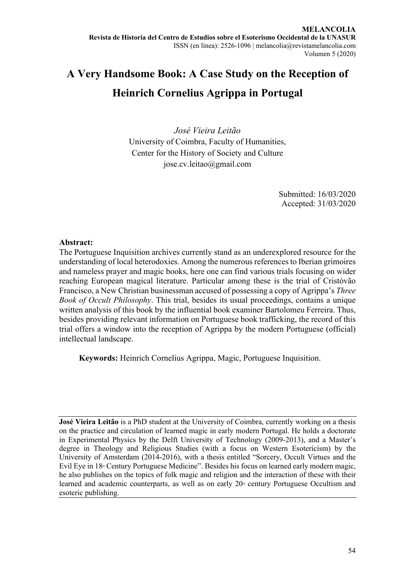# **A Very Handsome Book: A Case Study on the Reception of Heinrich Cornelius Agrippa in Portugal**

*José Vieira Leitão* University of Coimbra, Faculty of Humanities, Center for the History of Society and Culture jose.cv.leitao@gmail.com

> Submitted: 16/03/2020 Accepted: 31/03/2020

# **Abstract:**

The Portuguese Inquisition archives currently stand as an underexplored resource for the understanding of local heterodoxies. Among the numerous references to Iberian grimoires and nameless prayer and magic books, here one can find various trials focusing on wider reaching European magical literature. Particular among these is the trial of Cristóvão Francisco, a New Christian businessman accused of possessing a copy of Agrippa's *Three Book of Occult Philosophy*. This trial, besides its usual proceedings, contains a unique written analysis of this book by the influential book examiner Bartolomeu Ferreira. Thus, besides providing relevant information on Portuguese book trafficking, the record of this trial offers a window into the reception of Agrippa by the modern Portuguese (official) intellectual landscape.

**Keywords:** Heinrich Cornelius Agrippa, Magic, Portuguese Inquisition.

**José Vieira Leitão** is a PhD student at the University of Coimbra, currently working on a thesis on the practice and circulation of learned magic in early modern Portugal. He holds a doctorate in Experimental Physics by the Delft University of Technology (2009-2013), and a Master's degree in Theology and Religious Studies (with a focus on Western Esotericism) by the University of Amsterdam (2014-2016), with a thesis entitled "Sorcery, Occult Virtues and the Evil Eye in 18<sup>th</sup> Century Portuguese Medicine". Besides his focus on learned early modern magic, he also publishes on the topics of folk magic and religion and the interaction of these with their learned and academic counterparts, as well as on early  $20<sup>*</sup>$  century Portuguese Occultism and esoteric publishing.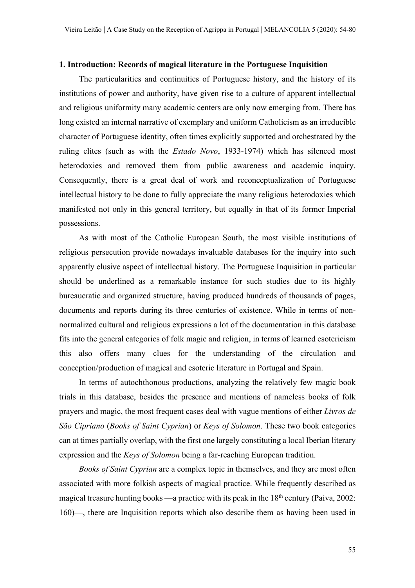#### **1. Introduction: Records of magical literature in the Portuguese Inquisition**

The particularities and continuities of Portuguese history, and the history of its institutions of power and authority, have given rise to a culture of apparent intellectual and religious uniformity many academic centers are only now emerging from. There has long existed an internal narrative of exemplary and uniform Catholicism as an irreducible character of Portuguese identity, often times explicitly supported and orchestrated by the ruling elites (such as with the *Estado Novo*, 1933-1974) which has silenced most heterodoxies and removed them from public awareness and academic inquiry. Consequently, there is a great deal of work and reconceptualization of Portuguese intellectual history to be done to fully appreciate the many religious heterodoxies which manifested not only in this general territory, but equally in that of its former Imperial possessions.

As with most of the Catholic European South, the most visible institutions of religious persecution provide nowadays invaluable databases for the inquiry into such apparently elusive aspect of intellectual history. The Portuguese Inquisition in particular should be underlined as a remarkable instance for such studies due to its highly bureaucratic and organized structure, having produced hundreds of thousands of pages, documents and reports during its three centuries of existence. While in terms of nonnormalized cultural and religious expressions a lot of the documentation in this database fits into the general categories of folk magic and religion, in terms of learned esotericism this also offers many clues for the understanding of the circulation and conception/production of magical and esoteric literature in Portugal and Spain.

In terms of autochthonous productions, analyzing the relatively few magic book trials in this database, besides the presence and mentions of nameless books of folk prayers and magic, the most frequent cases deal with vague mentions of either *Livros de São Cipriano* (*Books of Saint Cyprian*) or *Keys of Solomon*. These two book categories can at times partially overlap, with the first one largely constituting a local Iberian literary expression and the *Keys of Solomon* being a far-reaching European tradition.

*Books of Saint Cyprian* are a complex topic in themselves, and they are most often associated with more folkish aspects of magical practice. While frequently described as magical treasure hunting books —a practice with its peak in the  $18<sup>th</sup>$  century (Paiva, 2002: 160)—, there are Inquisition reports which also describe them as having been used in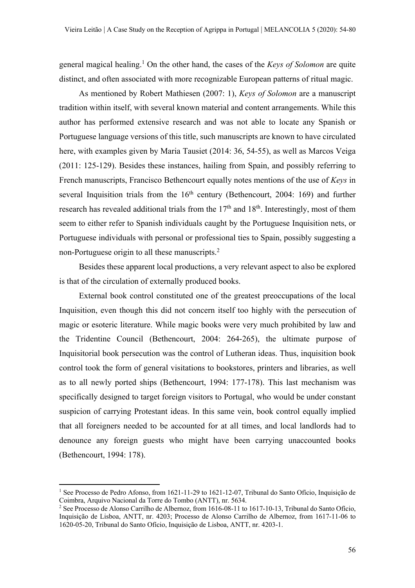general magical healing.1 On the other hand, the cases of the *Keys of Solomon* are quite distinct, and often associated with more recognizable European patterns of ritual magic.

As mentioned by Robert Mathiesen (2007: 1), *Keys of Solomon* are a manuscript tradition within itself, with several known material and content arrangements. While this author has performed extensive research and was not able to locate any Spanish or Portuguese language versions of this title, such manuscripts are known to have circulated here, with examples given by Maria Tausiet (2014: 36, 54-55), as well as Marcos Veiga (2011: 125-129). Besides these instances, hailing from Spain, and possibly referring to French manuscripts, Francisco Bethencourt equally notes mentions of the use of *Keys* in several Inquisition trials from the  $16<sup>th</sup>$  century (Bethencourt, 2004: 169) and further research has revealed additional trials from the  $17<sup>th</sup>$  and  $18<sup>th</sup>$ . Interestingly, most of them seem to either refer to Spanish individuals caught by the Portuguese Inquisition nets, or Portuguese individuals with personal or professional ties to Spain, possibly suggesting a non-Portuguese origin to all these manuscripts.<sup>2</sup>

Besides these apparent local productions, a very relevant aspect to also be explored is that of the circulation of externally produced books.

External book control constituted one of the greatest preoccupations of the local Inquisition, even though this did not concern itself too highly with the persecution of magic or esoteric literature. While magic books were very much prohibited by law and the Tridentine Council (Bethencourt, 2004: 264-265), the ultimate purpose of Inquisitorial book persecution was the control of Lutheran ideas. Thus, inquisition book control took the form of general visitations to bookstores, printers and libraries, as well as to all newly ported ships (Bethencourt, 1994: 177-178). This last mechanism was specifically designed to target foreign visitors to Portugal, who would be under constant suspicion of carrying Protestant ideas. In this same vein, book control equally implied that all foreigners needed to be accounted for at all times, and local landlords had to denounce any foreign guests who might have been carrying unaccounted books (Bethencourt, 1994: 178).

<sup>&</sup>lt;sup>1</sup> See Processo de Pedro Afonso, from 1621-11-29 to 1621-12-07, Tribunal do Santo Ofício, Inquisição de Coimbra, Arquivo Nacional da Torre do Tombo (ANTT), nr. 5634.

<sup>2</sup> See Processo de Alonso Carrilho de Albernoz, from 1616-08-11 to 1617-10-13, Tribunal do Santo Ofício, Inquisição de Lisboa, ANTT, nr. 4203; Processo de Alonso Carrilho de Albernoz, from 1617-11-06 to 1620-05-20, Tribunal do Santo Ofício, Inquisição de Lisboa, ANTT, nr. 4203-1.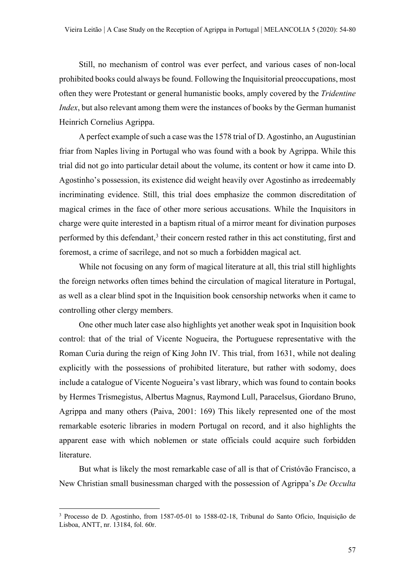Still, no mechanism of control was ever perfect, and various cases of non-local prohibited books could always be found. Following the Inquisitorial preoccupations, most often they were Protestant or general humanistic books, amply covered by the *Tridentine Index*, but also relevant among them were the instances of books by the German humanist Heinrich Cornelius Agrippa.

A perfect example of such a case was the 1578 trial of D. Agostinho, an Augustinian friar from Naples living in Portugal who was found with a book by Agrippa. While this trial did not go into particular detail about the volume, its content or how it came into D. Agostinho's possession, its existence did weight heavily over Agostinho as irredeemably incriminating evidence. Still, this trial does emphasize the common discreditation of magical crimes in the face of other more serious accusations. While the Inquisitors in charge were quite interested in a baptism ritual of a mirror meant for divination purposes performed by this defendant, $3$  their concern rested rather in this act constituting, first and foremost, a crime of sacrilege, and not so much a forbidden magical act.

While not focusing on any form of magical literature at all, this trial still highlights the foreign networks often times behind the circulation of magical literature in Portugal, as well as a clear blind spot in the Inquisition book censorship networks when it came to controlling other clergy members.

One other much later case also highlights yet another weak spot in Inquisition book control: that of the trial of Vicente Nogueira, the Portuguese representative with the Roman Curia during the reign of King John IV. This trial, from 1631, while not dealing explicitly with the possessions of prohibited literature, but rather with sodomy, does include a catalogue of Vicente Nogueira's vast library, which was found to contain books by Hermes Trismegistus, Albertus Magnus, Raymond Lull, Paracelsus, Giordano Bruno, Agrippa and many others (Paiva, 2001: 169) This likely represented one of the most remarkable esoteric libraries in modern Portugal on record, and it also highlights the apparent ease with which noblemen or state officials could acquire such forbidden literature.

But what is likely the most remarkable case of all is that of Cristóvão Francisco, a New Christian small businessman charged with the possession of Agrippa's *De Occulta* 

<sup>3</sup> Processo de D. Agostinho, from 1587-05-01 to 1588-02-18, Tribunal do Santo Ofício, Inquisição de Lisboa, ANTT, nr. 13184, fol. 60r.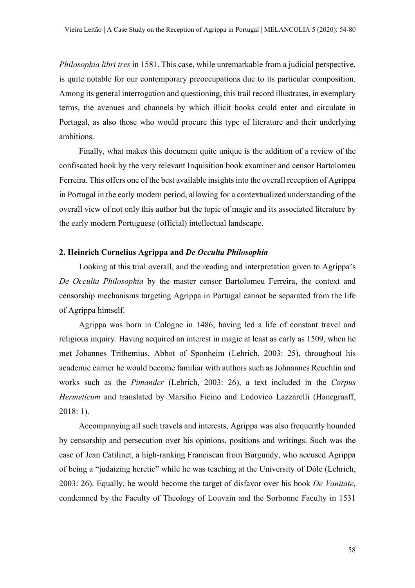*Philosophia libri tres* in 1581. This case, while unremarkable from a judicial perspective, is quite notable for our contemporary preoccupations due to its particular composition. Among its general interrogation and questioning, this trail record illustrates, in exemplary terms, the avenues and channels by which illicit books could enter and circulate in Portugal, as also those who would procure this type of literature and their underlying ambitions.

Finally, what makes this document quite unique is the addition of a review of the confiscated book by the very relevant Inquisition book examiner and censor Bartolomeu Ferreira. This offers one of the best available insights into the overall reception of Agrippa in Portugal in the early modern period, allowing for a contextualized understanding of the overall view of not only this author but the topic of magic and its associated literature by the early modern Portuguese (official) intellectual landscape.

#### **2. Heinrich Cornelius Agrippa and** *De Occulta Philosophia*

Looking at this trial overall, and the reading and interpretation given to Agrippa's *De Occulta Philosophia* by the master censor Bartolomeu Ferreira, the context and censorship mechanisms targeting Agrippa in Portugal cannot be separated from the life of Agrippa himself.

Agrippa was born in Cologne in 1486, having led a life of constant travel and religious inquiry. Having acquired an interest in magic at least as early as 1509, when he met Johannes Trithemius, Abbot of Sponheim (Lehrich, 2003: 25), throughout his academic carrier he would become familiar with authors such as Johnannes Reuchlin and works such as the *Pimander* (Lehrich, 2003: 26), a text included in the *Corpus Hermeticum* and translated by Marsilio Ficino and Lodovico Lazzarelli (Hanegraaff, 2018: 1).

Accompanying all such travels and interests, Agrippa was also frequently hounded by censorship and persecution over his opinions, positions and writings. Such was the case of Jean Catilinet, a high-ranking Franciscan from Burgundy, who accused Agrippa of being a "judaizing heretic" while he was teaching at the University of Dôle (Lehrich, 2003: 26). Equally, he would become the target of disfavor over his book *De Vanitate*, condemned by the Faculty of Theology of Louvain and the Sorbonne Faculty in 1531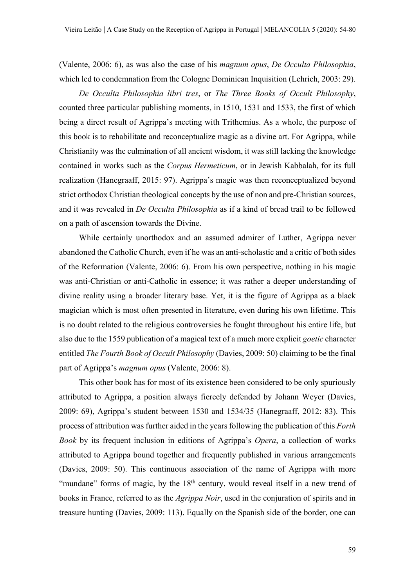(Valente, 2006: 6), as was also the case of his *magnum opus*, *De Occulta Philosophia*, which led to condemnation from the Cologne Dominican Inquisition (Lehrich, 2003: 29).

*De Occulta Philosophia libri tres*, or *The Three Books of Occult Philosophy*, counted three particular publishing moments, in 1510, 1531 and 1533, the first of which being a direct result of Agrippa's meeting with Trithemius. As a whole, the purpose of this book is to rehabilitate and reconceptualize magic as a divine art. For Agrippa, while Christianity was the culmination of all ancient wisdom, it was still lacking the knowledge contained in works such as the *Corpus Hermeticum*, or in Jewish Kabbalah, for its full realization (Hanegraaff, 2015: 97). Agrippa's magic was then reconceptualized beyond strict orthodox Christian theological concepts by the use of non and pre-Christian sources, and it was revealed in *De Occulta Philosophia* as if a kind of bread trail to be followed on a path of ascension towards the Divine.

While certainly unorthodox and an assumed admirer of Luther, Agrippa never abandoned the Catholic Church, even if he was an anti-scholastic and a critic of both sides of the Reformation (Valente, 2006: 6). From his own perspective, nothing in his magic was anti-Christian or anti-Catholic in essence; it was rather a deeper understanding of divine reality using a broader literary base. Yet, it is the figure of Agrippa as a black magician which is most often presented in literature, even during his own lifetime. This is no doubt related to the religious controversies he fought throughout his entire life, but also due to the 1559 publication of a magical text of a much more explicit *goetic* character entitled *The Fourth Book of Occult Philosophy* (Davies, 2009: 50) claiming to be the final part of Agrippa's *magnum opus* (Valente, 2006: 8).

This other book has for most of its existence been considered to be only spuriously attributed to Agrippa, a position always fiercely defended by Johann Weyer (Davies, 2009: 69), Agrippa's student between 1530 and 1534/35 (Hanegraaff, 2012: 83). This process of attribution was further aided in the years following the publication of this *Forth Book* by its frequent inclusion in editions of Agrippa's *Opera*, a collection of works attributed to Agrippa bound together and frequently published in various arrangements (Davies, 2009: 50). This continuous association of the name of Agrippa with more "mundane" forms of magic, by the  $18<sup>th</sup>$  century, would reveal itself in a new trend of books in France, referred to as the *Agrippa Noir*, used in the conjuration of spirits and in treasure hunting (Davies, 2009: 113). Equally on the Spanish side of the border, one can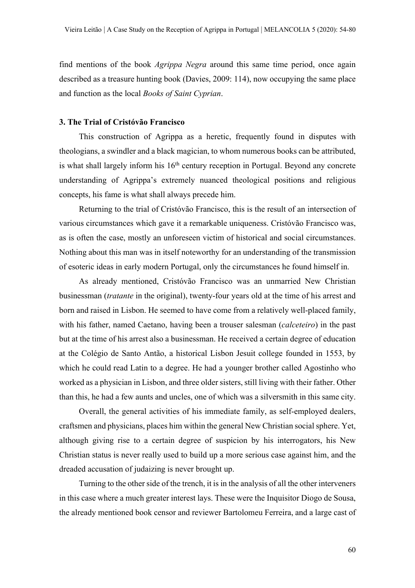find mentions of the book *Agrippa Negra* around this same time period, once again described as a treasure hunting book (Davies, 2009: 114), now occupying the same place and function as the local *Books of Saint Cyprian*.

#### **3. The Trial of Cristóvão Francisco**

This construction of Agrippa as a heretic, frequently found in disputes with theologians, a swindler and a black magician, to whom numerous books can be attributed, is what shall largely inform his  $16<sup>th</sup>$  century reception in Portugal. Beyond any concrete understanding of Agrippa's extremely nuanced theological positions and religious concepts, his fame is what shall always precede him.

Returning to the trial of Cristóvão Francisco, this is the result of an intersection of various circumstances which gave it a remarkable uniqueness. Cristóvão Francisco was, as is often the case, mostly an unforeseen victim of historical and social circumstances. Nothing about this man was in itself noteworthy for an understanding of the transmission of esoteric ideas in early modern Portugal, only the circumstances he found himself in.

As already mentioned, Cristóvão Francisco was an unmarried New Christian businessman (*tratante* in the original), twenty-four years old at the time of his arrest and born and raised in Lisbon. He seemed to have come from a relatively well-placed family, with his father, named Caetano, having been a trouser salesman (*calceteiro*) in the past but at the time of his arrest also a businessman. He received a certain degree of education at the Colégio de Santo Antão, a historical Lisbon Jesuit college founded in 1553, by which he could read Latin to a degree. He had a younger brother called Agostinho who worked as a physician in Lisbon, and three older sisters, still living with their father. Other than this, he had a few aunts and uncles, one of which was a silversmith in this same city.

Overall, the general activities of his immediate family, as self-employed dealers, craftsmen and physicians, places him within the general New Christian social sphere. Yet, although giving rise to a certain degree of suspicion by his interrogators, his New Christian status is never really used to build up a more serious case against him, and the dreaded accusation of judaizing is never brought up.

Turning to the other side of the trench, it is in the analysis of all the other interveners in this case where a much greater interest lays. These were the Inquisitor Diogo de Sousa, the already mentioned book censor and reviewer Bartolomeu Ferreira, and a large cast of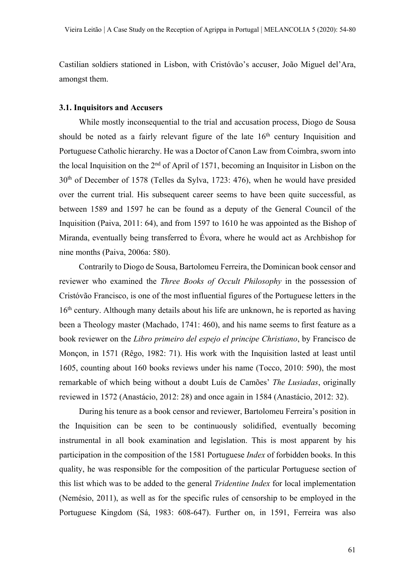Castilian soldiers stationed in Lisbon, with Cristóvão's accuser, João Miguel del'Ara, amongst them.

#### **3.1. Inquisitors and Accusers**

While mostly inconsequential to the trial and accusation process, Diogo de Sousa should be noted as a fairly relevant figure of the late 16<sup>th</sup> century Inquisition and Portuguese Catholic hierarchy. He was a Doctor of Canon Law from Coimbra, sworn into the local Inquisition on the  $2<sup>nd</sup>$  of April of 1571, becoming an Inquisitor in Lisbon on the 30th of December of 1578 (Telles da Sylva, 1723: 476), when he would have presided over the current trial. His subsequent career seems to have been quite successful, as between 1589 and 1597 he can be found as a deputy of the General Council of the Inquisition (Paiva, 2011: 64), and from 1597 to 1610 he was appointed as the Bishop of Miranda, eventually being transferred to Évora, where he would act as Archbishop for nine months (Paiva, 2006a: 580).

Contrarily to Diogo de Sousa, Bartolomeu Ferreira, the Dominican book censor and reviewer who examined the *Three Books of Occult Philosophy* in the possession of Cristóvão Francisco, is one of the most influential figures of the Portuguese letters in the 16<sup>th</sup> century. Although many details about his life are unknown, he is reported as having been a Theology master (Machado, 1741: 460), and his name seems to first feature as a book reviewer on the *Libro primeiro del espejo el principe Christiano*, by Francisco de Monçon, in 1571 (Rêgo, 1982: 71). His work with the Inquisition lasted at least until 1605, counting about 160 books reviews under his name (Tocco, 2010: 590), the most remarkable of which being without a doubt Luís de Camões' *The Lusiadas*, originally reviewed in 1572 (Anastácio, 2012: 28) and once again in 1584 (Anastácio, 2012: 32).

During his tenure as a book censor and reviewer, Bartolomeu Ferreira's position in the Inquisition can be seen to be continuously solidified, eventually becoming instrumental in all book examination and legislation. This is most apparent by his participation in the composition of the 1581 Portuguese *Index* of forbidden books. In this quality, he was responsible for the composition of the particular Portuguese section of this list which was to be added to the general *Tridentine Index* for local implementation (Nemésio, 2011), as well as for the specific rules of censorship to be employed in the Portuguese Kingdom (Sá, 1983: 608-647). Further on, in 1591, Ferreira was also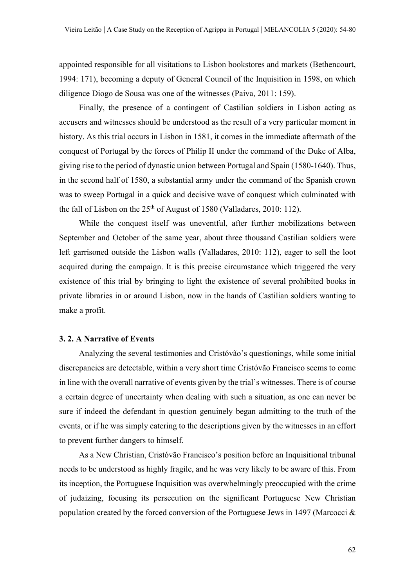appointed responsible for all visitations to Lisbon bookstores and markets (Bethencourt, 1994: 171), becoming a deputy of General Council of the Inquisition in 1598, on which diligence Diogo de Sousa was one of the witnesses (Paiva, 2011: 159).

Finally, the presence of a contingent of Castilian soldiers in Lisbon acting as accusers and witnesses should be understood as the result of a very particular moment in history. As this trial occurs in Lisbon in 1581, it comes in the immediate aftermath of the conquest of Portugal by the forces of Philip II under the command of the Duke of Alba, giving rise to the period of dynastic union between Portugal and Spain (1580-1640). Thus, in the second half of 1580, a substantial army under the command of the Spanish crown was to sweep Portugal in a quick and decisive wave of conquest which culminated with the fall of Lisbon on the  $25<sup>th</sup>$  of August of 1580 (Valladares, 2010: 112).

While the conquest itself was uneventful, after further mobilizations between September and October of the same year, about three thousand Castilian soldiers were left garrisoned outside the Lisbon walls (Valladares, 2010: 112), eager to sell the loot acquired during the campaign. It is this precise circumstance which triggered the very existence of this trial by bringing to light the existence of several prohibited books in private libraries in or around Lisbon, now in the hands of Castilian soldiers wanting to make a profit.

#### **3. 2. A Narrative of Events**

Analyzing the several testimonies and Cristóvão's questionings, while some initial discrepancies are detectable, within a very short time Cristóvão Francisco seems to come in line with the overall narrative of events given by the trial's witnesses. There is of course a certain degree of uncertainty when dealing with such a situation, as one can never be sure if indeed the defendant in question genuinely began admitting to the truth of the events, or if he was simply catering to the descriptions given by the witnesses in an effort to prevent further dangers to himself.

As a New Christian, Cristóvão Francisco's position before an Inquisitional tribunal needs to be understood as highly fragile, and he was very likely to be aware of this. From its inception, the Portuguese Inquisition was overwhelmingly preoccupied with the crime of judaizing, focusing its persecution on the significant Portuguese New Christian population created by the forced conversion of the Portuguese Jews in 1497 (Marcocci &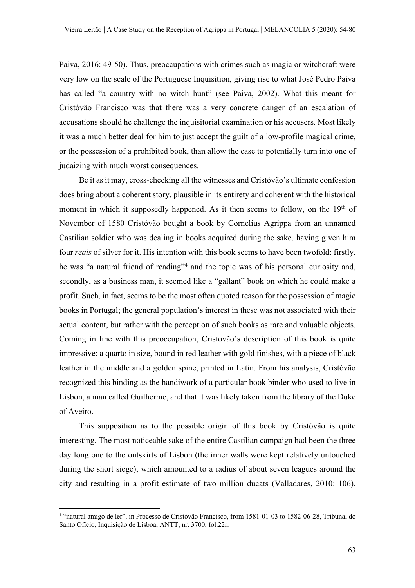Paiva, 2016: 49-50). Thus, preoccupations with crimes such as magic or witchcraft were very low on the scale of the Portuguese Inquisition, giving rise to what José Pedro Paiva has called "a country with no witch hunt" (see Paiva, 2002). What this meant for Cristóvão Francisco was that there was a very concrete danger of an escalation of accusations should he challenge the inquisitorial examination or his accusers. Most likely it was a much better deal for him to just accept the guilt of a low-profile magical crime, or the possession of a prohibited book, than allow the case to potentially turn into one of judaizing with much worst consequences.

Be it as it may, cross-checking all the witnesses and Cristóvão's ultimate confession does bring about a coherent story, plausible in its entirety and coherent with the historical moment in which it supposedly happened. As it then seems to follow, on the  $19<sup>th</sup>$  of November of 1580 Cristóvão bought a book by Cornelius Agrippa from an unnamed Castilian soldier who was dealing in books acquired during the sake, having given him four *reais* of silver for it. His intention with this book seems to have been twofold: firstly, he was "a natural friend of reading"4 and the topic was of his personal curiosity and, secondly, as a business man, it seemed like a "gallant" book on which he could make a profit. Such, in fact, seems to be the most often quoted reason for the possession of magic books in Portugal; the general population's interest in these was not associated with their actual content, but rather with the perception of such books as rare and valuable objects. Coming in line with this preoccupation, Cristóvão's description of this book is quite impressive: a quarto in size, bound in red leather with gold finishes, with a piece of black leather in the middle and a golden spine, printed in Latin. From his analysis, Cristóvão recognized this binding as the handiwork of a particular book binder who used to live in Lisbon, a man called Guilherme, and that it was likely taken from the library of the Duke of Aveiro.

This supposition as to the possible origin of this book by Cristóvão is quite interesting. The most noticeable sake of the entire Castilian campaign had been the three day long one to the outskirts of Lisbon (the inner walls were kept relatively untouched during the short siege), which amounted to a radius of about seven leagues around the city and resulting in a profit estimate of two million ducats (Valladares, 2010: 106).

<sup>4</sup> "natural amigo de ler", in Processo de Cristóvão Francisco, from 1581-01-03 to 1582-06-28, Tribunal do Santo Ofício, Inquisição de Lisboa, ANTT, nr. 3700, fol.22r.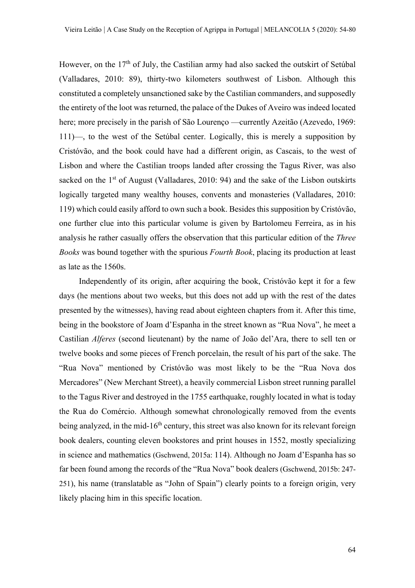However, on the 17<sup>th</sup> of July, the Castilian army had also sacked the outskirt of Setúbal (Valladares, 2010: 89), thirty-two kilometers southwest of Lisbon. Although this constituted a completely unsanctioned sake by the Castilian commanders, and supposedly the entirety of the loot was returned, the palace of the Dukes of Aveiro was indeed located here; more precisely in the parish of São Lourenço —currently Azeitão (Azevedo, 1969: 111)—, to the west of the Setúbal center. Logically, this is merely a supposition by Cristóvão, and the book could have had a different origin, as Cascais, to the west of Lisbon and where the Castilian troops landed after crossing the Tagus River, was also sacked on the 1<sup>st</sup> of August (Valladares, 2010: 94) and the sake of the Lisbon outskirts logically targeted many wealthy houses, convents and monasteries (Valladares, 2010: 119) which could easily afford to own such a book. Besides this supposition by Cristóvão, one further clue into this particular volume is given by Bartolomeu Ferreira, as in his analysis he rather casually offers the observation that this particular edition of the *Three Books* was bound together with the spurious *Fourth Book*, placing its production at least as late as the 1560s.

Independently of its origin, after acquiring the book, Cristóvão kept it for a few days (he mentions about two weeks, but this does not add up with the rest of the dates presented by the witnesses), having read about eighteen chapters from it. After this time, being in the bookstore of Joam d'Espanha in the street known as "Rua Nova", he meet a Castilian *Alferes* (second lieutenant) by the name of João del'Ara, there to sell ten or twelve books and some pieces of French porcelain, the result of his part of the sake. The "Rua Nova" mentioned by Cristóvão was most likely to be the "Rua Nova dos Mercadores" (New Merchant Street), a heavily commercial Lisbon street running parallel to the Tagus River and destroyed in the 1755 earthquake, roughly located in what is today the Rua do Comércio. Although somewhat chronologically removed from the events being analyzed, in the mid-16<sup>th</sup> century, this street was also known for its relevant foreign book dealers, counting eleven bookstores and print houses in 1552, mostly specializing in science and mathematics (Gschwend, 2015a: 114). Although no Joam d'Espanha has so far been found among the records of the "Rua Nova" book dealers (Gschwend, 2015b: 247- 251), his name (translatable as "John of Spain") clearly points to a foreign origin, very likely placing him in this specific location.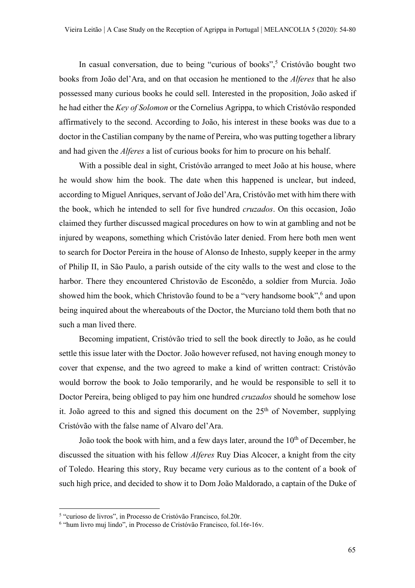In casual conversation, due to being "curious of books",<sup>5</sup> Cristóvão bought two books from João del'Ara, and on that occasion he mentioned to the *Alferes* that he also possessed many curious books he could sell. Interested in the proposition, João asked if he had either the *Key of Solomon* or the Cornelius Agrippa, to which Cristóvão responded affirmatively to the second. According to João, his interest in these books was due to a doctor in the Castilian company by the name of Pereira, who was putting together a library and had given the *Alferes* a list of curious books for him to procure on his behalf.

With a possible deal in sight, Cristóvão arranged to meet João at his house, where he would show him the book. The date when this happened is unclear, but indeed, according to Miguel Anriques, servant of João del'Ara, Cristóvão met with him there with the book, which he intended to sell for five hundred *cruzados*. On this occasion, João claimed they further discussed magical procedures on how to win at gambling and not be injured by weapons, something which Cristóvão later denied. From here both men went to search for Doctor Pereira in the house of Alonso de Inhesto, supply keeper in the army of Philip II, in São Paulo, a parish outside of the city walls to the west and close to the harbor. There they encountered Christovão de Esconêdo, a soldier from Murcia. João showed him the book, which Christovão found to be a "very handsome book", <sup>6</sup> and upon being inquired about the whereabouts of the Doctor, the Murciano told them both that no such a man lived there.

Becoming impatient, Cristóvão tried to sell the book directly to João, as he could settle this issue later with the Doctor. João however refused, not having enough money to cover that expense, and the two agreed to make a kind of written contract: Cristóvão would borrow the book to João temporarily, and he would be responsible to sell it to Doctor Pereira, being obliged to pay him one hundred *cruzados* should he somehow lose it. João agreed to this and signed this document on the  $25<sup>th</sup>$  of November, supplying Cristóvão with the false name of Alvaro del'Ara.

João took the book with him, and a few days later, around the  $10<sup>th</sup>$  of December, he discussed the situation with his fellow *Alferes* Ruy Dias Alcocer, a knight from the city of Toledo. Hearing this story, Ruy became very curious as to the content of a book of such high price, and decided to show it to Dom João Maldorado, a captain of the Duke of

<sup>5</sup> "curioso de livros", in Processo de Cristóvão Francisco, fol.20r.

<sup>6</sup> "hum livro muj lindo", in Processo de Cristóvão Francisco, fol.16r-16v.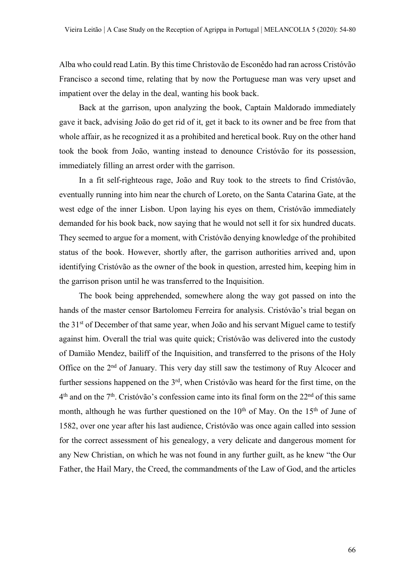Alba who could read Latin. By this time Christovão de Esconêdo had ran across Cristóvão Francisco a second time, relating that by now the Portuguese man was very upset and impatient over the delay in the deal, wanting his book back.

Back at the garrison, upon analyzing the book, Captain Maldorado immediately gave it back, advising João do get rid of it, get it back to its owner and be free from that whole affair, as he recognized it as a prohibited and heretical book. Ruy on the other hand took the book from João, wanting instead to denounce Cristóvão for its possession, immediately filling an arrest order with the garrison.

In a fit self-righteous rage, João and Ruy took to the streets to find Cristóvão, eventually running into him near the church of Loreto, on the Santa Catarina Gate, at the west edge of the inner Lisbon. Upon laying his eyes on them, Cristóvão immediately demanded for his book back, now saying that he would not sell it for six hundred ducats. They seemed to argue for a moment, with Cristóvão denying knowledge of the prohibited status of the book. However, shortly after, the garrison authorities arrived and, upon identifying Cristóvão as the owner of the book in question, arrested him, keeping him in the garrison prison until he was transferred to the Inquisition.

The book being apprehended, somewhere along the way got passed on into the hands of the master censor Bartolomeu Ferreira for analysis. Cristóvão's trial began on the 31<sup>st</sup> of December of that same year, when João and his servant Miguel came to testify against him. Overall the trial was quite quick; Cristóvão was delivered into the custody of Damião Mendez, bailiff of the Inquisition, and transferred to the prisons of the Holy Office on the 2<sup>nd</sup> of January. This very day still saw the testimony of Ruy Alcocer and further sessions happened on the 3<sup>rd</sup>, when Cristóvão was heard for the first time, on the  $4<sup>th</sup>$  and on the 7<sup>th</sup>. Cristóvão's confession came into its final form on the 22<sup>nd</sup> of this same month, although he was further questioned on the  $10<sup>th</sup>$  of May. On the  $15<sup>th</sup>$  of June of 1582, over one year after his last audience, Cristóvão was once again called into session for the correct assessment of his genealogy, a very delicate and dangerous moment for any New Christian, on which he was not found in any further guilt, as he knew "the Our Father, the Hail Mary, the Creed, the commandments of the Law of God, and the articles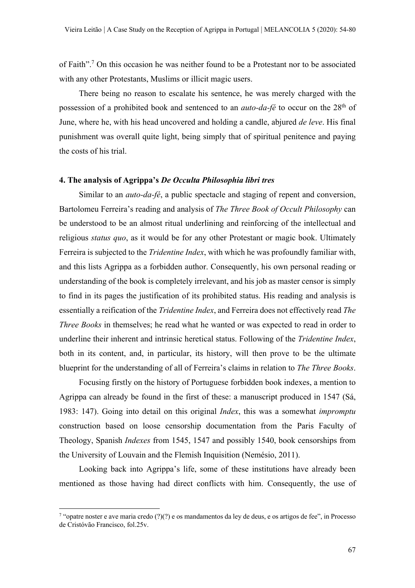of Faith".7 On this occasion he was neither found to be a Protestant nor to be associated with any other Protestants, Muslims or illicit magic users.

There being no reason to escalate his sentence, he was merely charged with the possession of a prohibited book and sentenced to an *auto-da-fé* to occur on the 28th of June, where he, with his head uncovered and holding a candle, abjured *de leve*. His final punishment was overall quite light, being simply that of spiritual penitence and paying the costs of his trial.

# **4. The analysis of Agrippa's** *De Occulta Philosophia libri tres*

Similar to an *auto-da-fé*, a public spectacle and staging of repent and conversion, Bartolomeu Ferreira's reading and analysis of *The Three Book of Occult Philosophy* can be understood to be an almost ritual underlining and reinforcing of the intellectual and religious *status quo*, as it would be for any other Protestant or magic book. Ultimately Ferreira is subjected to the *Tridentine Index*, with which he was profoundly familiar with, and this lists Agrippa as a forbidden author. Consequently, his own personal reading or understanding of the book is completely irrelevant, and his job as master censor is simply to find in its pages the justification of its prohibited status. His reading and analysis is essentially a reification of the *Tridentine Index*, and Ferreira does not effectively read *The Three Books* in themselves; he read what he wanted or was expected to read in order to underline their inherent and intrinsic heretical status. Following of the *Tridentine Index*, both in its content, and, in particular, its history, will then prove to be the ultimate blueprint for the understanding of all of Ferreira's claims in relation to *The Three Books*.

Focusing firstly on the history of Portuguese forbidden book indexes, a mention to Agrippa can already be found in the first of these: a manuscript produced in 1547 (Sá, 1983: 147). Going into detail on this original *Index*, this was a somewhat *impromptu* construction based on loose censorship documentation from the Paris Faculty of Theology, Spanish *Indexes* from 1545, 1547 and possibly 1540, book censorships from the University of Louvain and the Flemish Inquisition (Nemésio, 2011).

Looking back into Agrippa's life, some of these institutions have already been mentioned as those having had direct conflicts with him. Consequently, the use of

<sup>&</sup>lt;sup>7</sup> "opatre noster e ave maria credo (?)(?) e os mandamentos da ley de deus, e os artigos de fee", in Processo de Cristóvão Francisco, fol.25v.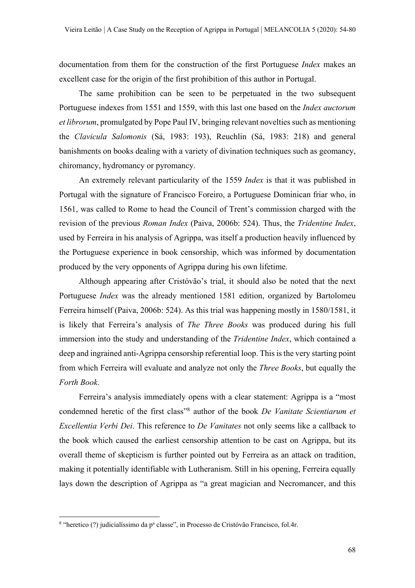documentation from them for the construction of the first Portuguese *Index* makes an excellent case for the origin of the first prohibition of this author in Portugal.

The same prohibition can be seen to be perpetuated in the two subsequent Portuguese indexes from 1551 and 1559, with this last one based on the *Index auctorum et librorum*, promulgated by Pope Paul IV, bringing relevant novelties such as mentioning the *Clavicula Salomonis* (Sá, 1983: 193), Reuchlin (Sá, 1983: 218) and general banishments on books dealing with a variety of divination techniques such as geomancy, chiromancy, hydromancy or pyromancy.

An extremely relevant particularity of the 1559 *Index* is that it was published in Portugal with the signature of Francisco Foreiro, a Portuguese Dominican friar who, in 1561, was called to Rome to head the Council of Trent's commission charged with the revision of the previous *Roman Index* (Paiva, 2006b: 524). Thus, the *Tridentine Index*, used by Ferreira in his analysis of Agrippa, was itself a production heavily influenced by the Portuguese experience in book censorship, which was informed by documentation produced by the very opponents of Agrippa during his own lifetime.

Although appearing after Cristóvão's trial, it should also be noted that the next Portuguese *Index* was the already mentioned 1581 edition, organized by Bartolomeu Ferreira himself (Paiva, 2006b: 524). As this trial was happening mostly in 1580/1581, it is likely that Ferreira's analysis of *The Three Books* was produced during his full immersion into the study and understanding of the *Tridentine Index*, which contained a deep and ingrained anti-Agrippa censorship referential loop. This is the very starting point from which Ferreira will evaluate and analyze not only the *Three Books*, but equally the *Forth Book*.

Ferreira's analysis immediately opens with a clear statement: Agrippa is a "most condemned heretic of the first class"8 author of the book *De Vanitate Scientiarum et Excellentia Verbi Dei*. This reference to *De Vanitates* not only seems like a callback to the book which caused the earliest censorship attention to be cast on Agrippa, but its overall theme of skepticism is further pointed out by Ferreira as an attack on tradition, making it potentially identifiable with Lutheranism. Still in his opening, Ferreira equally lays down the description of Agrippa as "a great magician and Necromancer, and this

 $8$  "heretico (?) judicialíssimo da p<sup>a</sup> classe", in Processo de Cristóvão Francisco, fol.4r.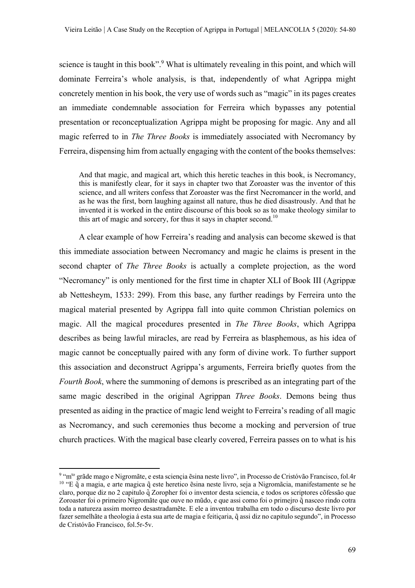science is taught in this book".<sup>9</sup> What is ultimately revealing in this point, and which will dominate Ferreira's whole analysis, is that, independently of what Agrippa might concretely mention in his book, the very use of words such as "magic" in its pages creates an immediate condemnable association for Ferreira which bypasses any potential presentation or reconceptualization Agrippa might be proposing for magic. Any and all magic referred to in *The Three Books* is immediately associated with Necromancy by Ferreira, dispensing him from actually engaging with the content of the books themselves:

And that magic, and magical art, which this heretic teaches in this book, is Necromancy, this is manifestly clear, for it says in chapter two that Zoroaster was the inventor of this science, and all writers confess that Zoroaster was the first Necromancer in the world, and as he was the first, born laughing against all nature, thus he died disastrously. And that he invented it is worked in the entire discourse of this book so as to make theology similar to this art of magic and sorcery, for thus it says in chapter second.<sup>10</sup>

A clear example of how Ferreira's reading and analysis can become skewed is that this immediate association between Necromancy and magic he claims is present in the second chapter of *The Three Books* is actually a complete projection, as the word "Necromancy" is only mentioned for the first time in chapter XLI of Book III (Agrippæ ab Nettesheym, 1533: 299). From this base, any further readings by Ferreira unto the magical material presented by Agrippa fall into quite common Christian polemics on magic. All the magical procedures presented in *The Three Books*, which Agrippa describes as being lawful miracles, are read by Ferreira as blasphemous, as his idea of magic cannot be conceptually paired with any form of divine work. To further support this association and deconstruct Agrippa's arguments, Ferreira briefly quotes from the *Fourth Book*, where the summoning of demons is prescribed as an integrating part of the same magic described in the original Agrippan *Three Books*. Demons being thus presented as aiding in the practice of magic lend weight to Ferreira's reading of all magic as Necromancy, and such ceremonies thus become a mocking and perversion of true church practices. With the magical base clearly covered, Ferreira passes on to what is his

<sup>&</sup>lt;sup>9 "</sup>m<sup>to</sup> grãde mago e Nigromãte, e esta sciencia ẽsina neste livro", in Processo de Cristóvão Francisco, fol.4r <sup>10</sup> "E q̃ a magia, e arte magica q̃ este heretico ẽsina neste livro, seja a Nigromãcia, manifestamente se he claro, porque diz no 2 capitulo q̃ Zoropher foi o inventor desta sciencia, e todos os scriptores cõfessão que Zoroaster foi o primeiro Nigromãte que ouve no mũdo, e que assi como foi o primeiro q nasceo rindo cotra toda a natureza assim morreo desastradamẽte. E ele a inventou trabalha em todo o discurso deste livro por fazer semelhãte a theologia á esta sua arte de magia e feiticaria, q assi diz no capitulo segundo", in Processo de Cristóvão Francisco, fol.5r-5v.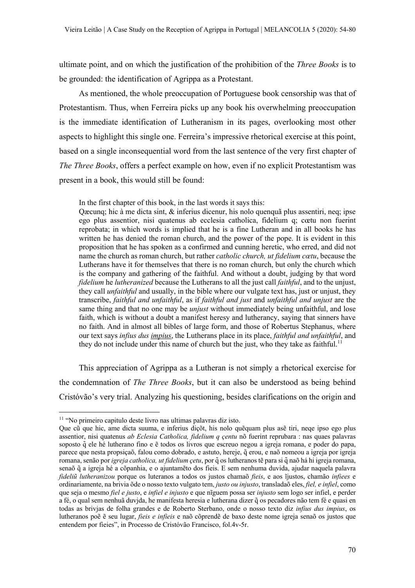ultimate point, and on which the justification of the prohibition of the *Three Books* is to be grounded: the identification of Agrippa as a Protestant.

As mentioned, the whole preoccupation of Portuguese book censorship was that of Protestantism. Thus, when Ferreira picks up any book his overwhelming preoccupation is the immediate identification of Lutheranism in its pages, overlooking most other aspects to highlight this single one. Ferreira's impressive rhetorical exercise at this point, based on a single inconsequential word from the last sentence of the very first chapter of *The Three Books*, offers a perfect example on how, even if no explicit Protestantism was present in a book, this would still be found:

In the first chapter of this book, in the last words it says this:

Qæcunq; hic à me dicta sint, & inferius dicenur, his nolo quenquã plus assentiri, neq; ipse ego plus assentior, nisi quatenus ab ecclesia catholica, fidelium q; cœtu non fuerint reprobata; in which words is implied that he is a fine Lutheran and in all books he has written he has denied the roman church, and the power of the pope. It is evident in this proposition that he has spoken as a confirmed and cunning heretic, who erred, and did not name the church as roman church, but rather *catholic church, ut fidelium cœtu*, because the Lutherans have it for themselves that there is no roman church, but only the church which is the company and gathering of the faithful. And without a doubt, judging by that word *fidelium* he *lutheranized* because the Lutherans to all the just call *faithful*, and to the unjust, they call *unfaithful* and usually, in the bible where our vulgate text has, just or unjust, they transcribe, *faithful and unfaithful*, as if *faithful and just* and *unfaithful and unjust* are the same thing and that no one may be *unjust* without immediately being unfaithful, and lose faith, which is without a doubt a manifest heresy and lutherancy, saying that sinners have no faith. And in almost all bibles of large form, and those of Robertus Stephanus, where our text says *infius dus impius*, the Lutherans place in its place, *faithful and unfaithful*, and they do not include under this name of church but the just, who they take as faithful.<sup>11</sup>

This appreciation of Agrippa as a Lutheran is not simply a rhetorical exercise for the condemnation of *The Three Books*, but it can also be understood as being behind Cristóvão's very trial. Analyzing his questioning, besides clarifications on the origin and

<sup>11</sup> "No primeiro capitulo deste livro nas ultimas palavras diz isto.

Que cũ que hic, ame dicta suuma, e inferius diçõt, his nolo quẽquam plus asẽ tiri, neqe ipso ego plus assentior, nisi quatenus *ab Eclesia Catholica, fidelium q çentu* nõ fuerint reprubara : nas quaes palavras soposto q̃ ele hé lutherano fino e ẽ todos os livros que escreuo negou a igreja romana, e poder do papa, parece que nesta propsiçaõ, falou como dobrado, e astuto, hereje, q̃erou, e naõ nomeou a igreja por igreja romana, senão por *igreja catholica, ut fidelium çetu*, por q̃os lutheranos tẽ para si q̃naõ há hi igreja romana, senaõ q̃ a igreja hé a cõpanhia, e o ajuntamẽto dos fieis. E sem nenhuma duvida, ajudar naquela palavra *fideliũ lutheranizou* porque os luteranos a todos os justos chamaõ *fieis*, e aos ĩjustos, chamão *infiees* e ordinariamente, na brivia õde o nosso texto vulgato tem, *justo ou injusto*, transladaõ eles, *fiel, e infiel*, como que seja o mesmo *fiel e justo*, e *infiel e injusto* e que nĩguem possa ser *injusto* sem logo ser infiel, e perder a fé, o qual sem nenhuã duvjda, he manifesta heresia e lutherana dizer q̃os pecadores não tem fé e quasi en todas as brivjas de folha grandes e de Roberto Sterbano, onde o nosso texto diz *infius dus impius*, os lutheranos poẽ ẽ seu lugar, *fieis e infieis* e naõ cõprendẽ de baxo deste nome igreja senaõ os justos que entendem por fieies", in Processo de Cristóvão Francisco, fol.4v-5r.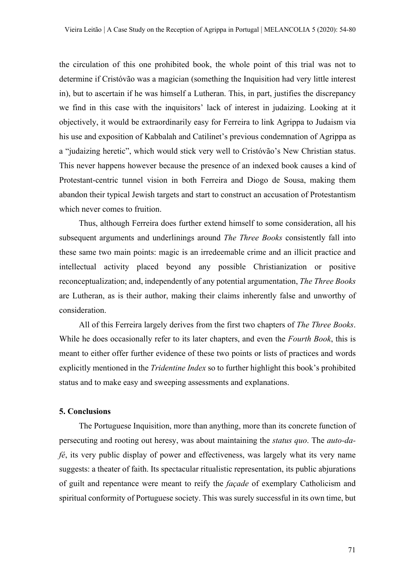the circulation of this one prohibited book, the whole point of this trial was not to determine if Cristóvão was a magician (something the Inquisition had very little interest in), but to ascertain if he was himself a Lutheran. This, in part, justifies the discrepancy we find in this case with the inquisitors' lack of interest in judaizing. Looking at it objectively, it would be extraordinarily easy for Ferreira to link Agrippa to Judaism via his use and exposition of Kabbalah and Catilinet's previous condemnation of Agrippa as a "judaizing heretic", which would stick very well to Cristóvão's New Christian status. This never happens however because the presence of an indexed book causes a kind of Protestant-centric tunnel vision in both Ferreira and Diogo de Sousa, making them abandon their typical Jewish targets and start to construct an accusation of Protestantism which never comes to fruition.

Thus, although Ferreira does further extend himself to some consideration, all his subsequent arguments and underlinings around *The Three Books* consistently fall into these same two main points: magic is an irredeemable crime and an illicit practice and intellectual activity placed beyond any possible Christianization or positive reconceptualization; and, independently of any potential argumentation, *The Three Books* are Lutheran, as is their author, making their claims inherently false and unworthy of consideration.

All of this Ferreira largely derives from the first two chapters of *The Three Books*. While he does occasionally refer to its later chapters, and even the *Fourth Book*, this is meant to either offer further evidence of these two points or lists of practices and words explicitly mentioned in the *Tridentine Index* so to further highlight this book's prohibited status and to make easy and sweeping assessments and explanations.

#### **5. Conclusions**

The Portuguese Inquisition, more than anything, more than its concrete function of persecuting and rooting out heresy, was about maintaining the *status quo*. The *auto-dafé*, its very public display of power and effectiveness, was largely what its very name suggests: a theater of faith. Its spectacular ritualistic representation, its public abjurations of guilt and repentance were meant to reify the *façade* of exemplary Catholicism and spiritual conformity of Portuguese society. This was surely successful in its own time, but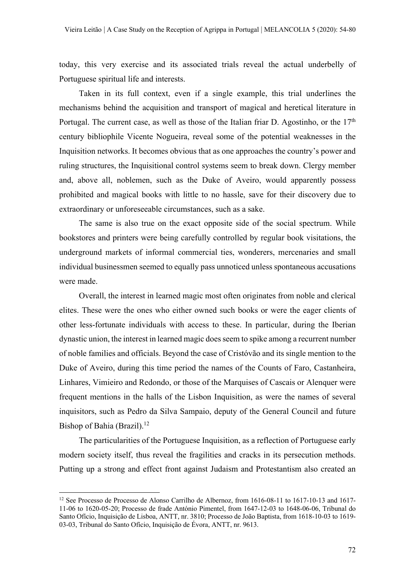today, this very exercise and its associated trials reveal the actual underbelly of Portuguese spiritual life and interests.

Taken in its full context, even if a single example, this trial underlines the mechanisms behind the acquisition and transport of magical and heretical literature in Portugal. The current case, as well as those of the Italian friar D. Agostinho, or the 17<sup>th</sup> century bibliophile Vicente Nogueira, reveal some of the potential weaknesses in the Inquisition networks. It becomes obvious that as one approaches the country's power and ruling structures, the Inquisitional control systems seem to break down. Clergy member and, above all, noblemen, such as the Duke of Aveiro, would apparently possess prohibited and magical books with little to no hassle, save for their discovery due to extraordinary or unforeseeable circumstances, such as a sake.

The same is also true on the exact opposite side of the social spectrum. While bookstores and printers were being carefully controlled by regular book visitations, the underground markets of informal commercial ties, wonderers, mercenaries and small individual businessmen seemed to equally pass unnoticed unless spontaneous accusations were made.

Overall, the interest in learned magic most often originates from noble and clerical elites. These were the ones who either owned such books or were the eager clients of other less-fortunate individuals with access to these. In particular, during the Iberian dynastic union, the interest in learned magic does seem to spike among a recurrent number of noble families and officials. Beyond the case of Cristóvão and its single mention to the Duke of Aveiro, during this time period the names of the Counts of Faro, Castanheira, Linhares, Vimieiro and Redondo, or those of the Marquises of Cascais or Alenquer were frequent mentions in the halls of the Lisbon Inquisition, as were the names of several inquisitors, such as Pedro da Silva Sampaio, deputy of the General Council and future Bishop of Bahia (Brazil).<sup>12</sup>

The particularities of the Portuguese Inquisition, as a reflection of Portuguese early modern society itself, thus reveal the fragilities and cracks in its persecution methods. Putting up a strong and effect front against Judaism and Protestantism also created an

<sup>&</sup>lt;sup>12</sup> See Processo de Processo de Alonso Carrilho de Albernoz, from 1616-08-11 to 1617-10-13 and 1617-11-06 to 1620-05-20; Processo de frade António Pimentel, from 1647-12-03 to 1648-06-06, Tribunal do Santo Ofício, Inquisição de Lisboa, ANTT, nr. 3810; Processo de João Baptista, from 1618-10-03 to 1619- 03-03, Tribunal do Santo Ofício, Inquisição de Évora, ANTT, nr. 9613.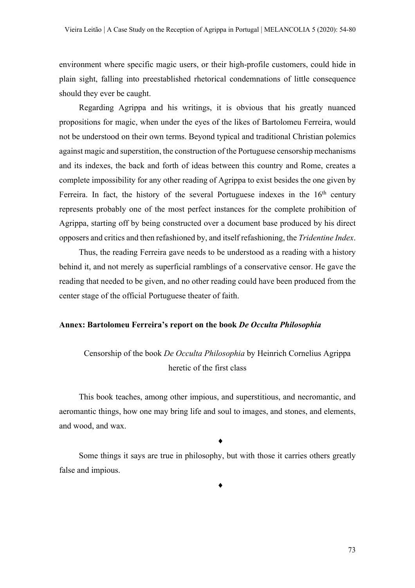environment where specific magic users, or their high-profile customers, could hide in plain sight, falling into preestablished rhetorical condemnations of little consequence should they ever be caught.

Regarding Agrippa and his writings, it is obvious that his greatly nuanced propositions for magic, when under the eyes of the likes of Bartolomeu Ferreira, would not be understood on their own terms. Beyond typical and traditional Christian polemics against magic and superstition, the construction of the Portuguese censorship mechanisms and its indexes, the back and forth of ideas between this country and Rome, creates a complete impossibility for any other reading of Agrippa to exist besides the one given by Ferreira. In fact, the history of the several Portuguese indexes in the  $16<sup>th</sup>$  century represents probably one of the most perfect instances for the complete prohibition of Agrippa, starting off by being constructed over a document base produced by his direct opposers and critics and then refashioned by, and itself refashioning, the *Tridentine Index*.

Thus, the reading Ferreira gave needs to be understood as a reading with a history behind it, and not merely as superficial ramblings of a conservative censor. He gave the reading that needed to be given, and no other reading could have been produced from the center stage of the official Portuguese theater of faith.

## **Annex: Bartolomeu Ferreira's report on the book** *De Occulta Philosophia*

# Censorship of the book *De Occulta Philosophia* by Heinrich Cornelius Agrippa heretic of the first class

This book teaches, among other impious, and superstitious, and necromantic, and aeromantic things, how one may bring life and soul to images, and stones, and elements, and wood, and wax.

 $\blacklozenge$ 

Some things it says are true in philosophy, but with those it carries others greatly false and impious.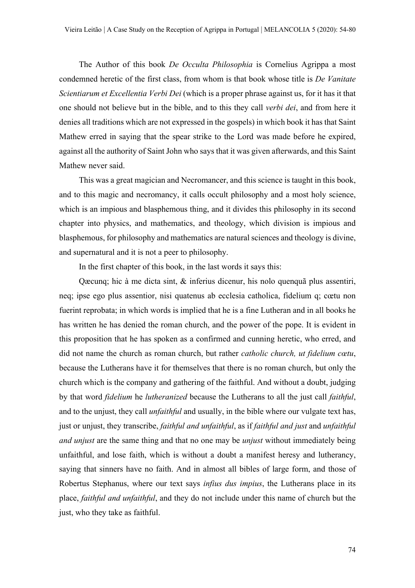The Author of this book *De Occulta Philosophia* is Cornelius Agrippa a most condemned heretic of the first class, from whom is that book whose title is *De Vanitate Scientiarum et Excellentia Verbi Dei* (which is a proper phrase against us, for it has it that one should not believe but in the bible, and to this they call *verbi dei*, and from here it denies all traditions which are not expressed in the gospels) in which book it has that Saint Mathew erred in saying that the spear strike to the Lord was made before he expired, against all the authority of Saint John who says that it was given afterwards, and this Saint Mathew never said.

This was a great magician and Necromancer, and this science is taught in this book, and to this magic and necromancy, it calls occult philosophy and a most holy science, which is an impious and blasphemous thing, and it divides this philosophy in its second chapter into physics, and mathematics, and theology, which division is impious and blasphemous, for philosophy and mathematics are natural sciences and theology is divine, and supernatural and it is not a peer to philosophy.

In the first chapter of this book, in the last words it says this:

Qæcunq; hic à me dicta sint, & inferius dicenur, his nolo quenquã plus assentiri, neq; ipse ego plus assentior, nisi quatenus ab ecclesia catholica, fidelium q; cœtu non fuerint reprobata; in which words is implied that he is a fine Lutheran and in all books he has written he has denied the roman church, and the power of the pope. It is evident in this proposition that he has spoken as a confirmed and cunning heretic, who erred, and did not name the church as roman church, but rather *catholic church, ut fidelium cœtu*, because the Lutherans have it for themselves that there is no roman church, but only the church which is the company and gathering of the faithful. And without a doubt, judging by that word *fidelium* he *lutheranized* because the Lutherans to all the just call *faithful*, and to the unjust, they call *unfaithful* and usually, in the bible where our vulgate text has, just or unjust, they transcribe, *faithful and unfaithful*, as if *faithful and just* and *unfaithful and unjust* are the same thing and that no one may be *unjust* without immediately being unfaithful, and lose faith, which is without a doubt a manifest heresy and lutherancy, saying that sinners have no faith. And in almost all bibles of large form, and those of Robertus Stephanus, where our text says *infius dus impius*, the Lutherans place in its place, *faithful and unfaithful*, and they do not include under this name of church but the just, who they take as faithful.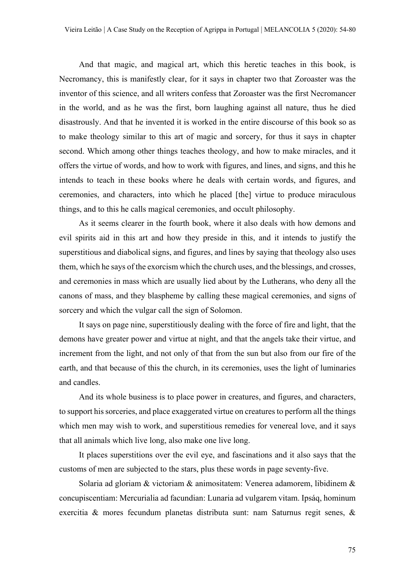And that magic, and magical art, which this heretic teaches in this book, is Necromancy, this is manifestly clear, for it says in chapter two that Zoroaster was the inventor of this science, and all writers confess that Zoroaster was the first Necromancer in the world, and as he was the first, born laughing against all nature, thus he died disastrously. And that he invented it is worked in the entire discourse of this book so as to make theology similar to this art of magic and sorcery, for thus it says in chapter second. Which among other things teaches theology, and how to make miracles, and it offers the virtue of words, and how to work with figures, and lines, and signs, and this he intends to teach in these books where he deals with certain words, and figures, and ceremonies, and characters, into which he placed [the] virtue to produce miraculous things, and to this he calls magical ceremonies, and occult philosophy.

As it seems clearer in the fourth book, where it also deals with how demons and evil spirits aid in this art and how they preside in this, and it intends to justify the superstitious and diabolical signs, and figures, and lines by saying that theology also uses them, which he says of the exorcism which the church uses, and the blessings, and crosses, and ceremonies in mass which are usually lied about by the Lutherans, who deny all the canons of mass, and they blaspheme by calling these magical ceremonies, and signs of sorcery and which the vulgar call the sign of Solomon.

It says on page nine, superstitiously dealing with the force of fire and light, that the demons have greater power and virtue at night, and that the angels take their virtue, and increment from the light, and not only of that from the sun but also from our fire of the earth, and that because of this the church, in its ceremonies, uses the light of luminaries and candles.

And its whole business is to place power in creatures, and figures, and characters, to support his sorceries, and place exaggerated virtue on creatures to perform all the things which men may wish to work, and superstitious remedies for venereal love, and it says that all animals which live long, also make one live long.

It places superstitions over the evil eye, and fascinations and it also says that the customs of men are subjected to the stars, plus these words in page seventy-five.

Solaria ad gloriam & victoriam & animositatem: Venerea adamorem, libidinem & concupiscentiam: Mercurialia ad facundian: Lunaria ad vulgarem vitam. Ipsáq, hominum exercitia & mores fecundum planetas distributa sunt: nam Saturnus regit senes, &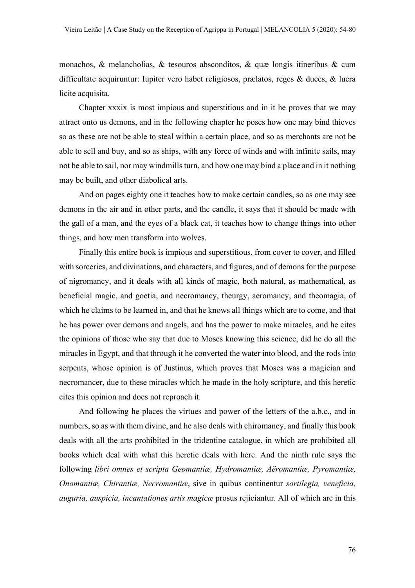monachos, & melancholias, & tesouros absconditos, & quæ longis itineribus & cum difficultate acquiruntur: Iupiter vero habet religiosos, prælatos, reges & duces, & lucra licite acquisita.

Chapter xxxix is most impious and superstitious and in it he proves that we may attract onto us demons, and in the following chapter he poses how one may bind thieves so as these are not be able to steal within a certain place, and so as merchants are not be able to sell and buy, and so as ships, with any force of winds and with infinite sails, may not be able to sail, nor may windmills turn, and how one may bind a place and in it nothing may be built, and other diabolical arts.

And on pages eighty one it teaches how to make certain candles, so as one may see demons in the air and in other parts, and the candle, it says that it should be made with the gall of a man, and the eyes of a black cat, it teaches how to change things into other things, and how men transform into wolves.

Finally this entire book is impious and superstitious, from cover to cover, and filled with sorceries, and divinations, and characters, and figures, and of demons for the purpose of nigromancy, and it deals with all kinds of magic, both natural, as mathematical, as beneficial magic, and goetia, and necromancy, theurgy, aeromancy, and theomagia, of which he claims to be learned in, and that he knows all things which are to come, and that he has power over demons and angels, and has the power to make miracles, and he cites the opinions of those who say that due to Moses knowing this science, did he do all the miracles in Egypt, and that through it he converted the water into blood, and the rods into serpents, whose opinion is of Justinus, which proves that Moses was a magician and necromancer, due to these miracles which he made in the holy scripture, and this heretic cites this opinion and does not reproach it.

And following he places the virtues and power of the letters of the a.b.c., and in numbers, so as with them divine, and he also deals with chiromancy, and finally this book deals with all the arts prohibited in the tridentine catalogue, in which are prohibited all books which deal with what this heretic deals with here. And the ninth rule says the following *libri omnes et scripta Geomantiæ, Hydromantiæ, Aëromantiæ, Pyromantiæ, Onomantiæ, Chirantiæ, Necromantiæ*, sive in quibus continentur *sortilegia, veneficia, auguria, auspicia, incantationes artis magicæ* prosus rejiciantur. All of which are in this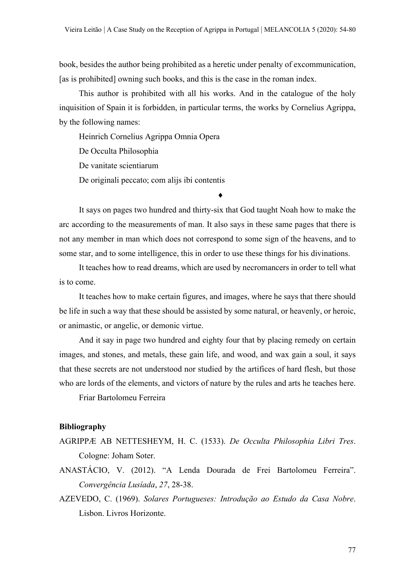book, besides the author being prohibited as a heretic under penalty of excommunication, [as is prohibited] owning such books, and this is the case in the roman index.

This author is prohibited with all his works. And in the catalogue of the holy inquisition of Spain it is forbidden, in particular terms, the works by Cornelius Agrippa, by the following names:

Heinrich Cornelius Agrippa Omnia Opera

De Occulta Philosophia

De vanitate scientiarum

De originali peccato; com alijs ibi contentis

It says on pages two hundred and thirty-six that God taught Noah how to make the arc according to the measurements of man. It also says in these same pages that there is not any member in man which does not correspond to some sign of the heavens, and to some star, and to some intelligence, this in order to use these things for his divinations.

¨

It teaches how to read dreams, which are used by necromancers in order to tell what is to come.

It teaches how to make certain figures, and images, where he says that there should be life in such a way that these should be assisted by some natural, or heavenly, or heroic, or animastic, or angelic, or demonic virtue.

And it say in page two hundred and eighty four that by placing remedy on certain images, and stones, and metals, these gain life, and wood, and wax gain a soul, it says that these secrets are not understood nor studied by the artifices of hard flesh, but those who are lords of the elements, and victors of nature by the rules and arts he teaches here.

Friar Bartolomeu Ferreira

### **Bibliography**

- AGRIPPÆ AB NETTESHEYM, H. C. (1533). *De Occulta Philosophia Libri Tres*. Cologne: Joham Soter.
- ANASTÁCIO, V. (2012). "A Lenda Dourada de Frei Bartolomeu Ferreira". *Convergência Lusíada*, *27*, 28-38.
- AZEVEDO, C. (1969). *Solares Portugueses: Introdução ao Estudo da Casa Nobre*. Lisbon. Livros Horizonte.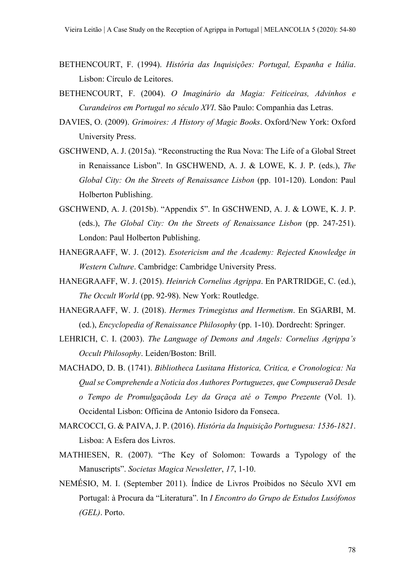- BETHENCOURT, F. (1994). *História das Inquisições: Portugal, Espanha e Itália*. Lisbon: Círculo de Leitores.
- BETHENCOURT, F. (2004). *O Imaginário da Magia: Feiticeiras, Advinhos e Curandeiros em Portugal no século XVI*. São Paulo: Companhia das Letras.
- DAVIES, O. (2009). *Grimoires: A History of Magic Books*. Oxford/New York: Oxford University Press.
- GSCHWEND, A. J. (2015a). "Reconstructing the Rua Nova: The Life of a Global Street in Renaissance Lisbon". In GSCHWEND, A. J. & LOWE, K. J. P. (eds.), *The Global City: On the Streets of Renaissance Lisbon* (pp. 101-120). London: Paul Holberton Publishing.
- GSCHWEND, A. J. (2015b). "Appendix 5". In GSCHWEND, A. J. & LOWE, K. J. P. (eds.), *The Global City: On the Streets of Renaissance Lisbon* (pp. 247-251). London: Paul Holberton Publishing.
- HANEGRAAFF, W. J. (2012). *Esotericism and the Academy: Rejected Knowledge in Western Culture*. Cambridge: Cambridge University Press.
- HANEGRAAFF, W. J. (2015). *Heinrich Cornelius Agrippa*. En PARTRIDGE, C. (ed.), *The Occult World* (pp. 92-98). New York: Routledge.
- HANEGRAAFF, W. J. (2018). *Hermes Trimegistus and Hermetism*. En SGARBI, M. (ed.), *Encyclopedia of Renaissance Philosophy* (pp. 1-10). Dordrecht: Springer.
- LEHRICH, C. I. (2003). *The Language of Demons and Angels: Cornelius Agrippa's Occult Philosophy*. Leiden/Boston: Brill.
- MACHADO, D. B. (1741). *Bibliotheca Lusitana Historica, Critica, e Cronologica: Na Qual se Comprehende a Noticia dos Authores Portuguezes, que Compuseraõ Desde o Tempo de Promulgaçãoda Ley da Graça até o Tempo Prezente* (Vol. 1). Occidental Lisbon: Officina de Antonio Isidoro da Fonseca.
- MARCOCCI, G. & PAIVA, J. P. (2016). *História da Inquisição Portuguesa: 1536-1821*. Lisboa: A Esfera dos Livros.
- MATHIESEN, R. (2007). "The Key of Solomon: Towards a Typology of the Manuscripts". *Societas Magica Newsletter*, *17*, 1-10.
- NEMÉSIO, M. I. (September 2011). Índice de Livros Proibidos no Século XVI em Portugal: à Procura da "Literatura". In *I Encontro do Grupo de Estudos Lusófonos (GEL)*. Porto.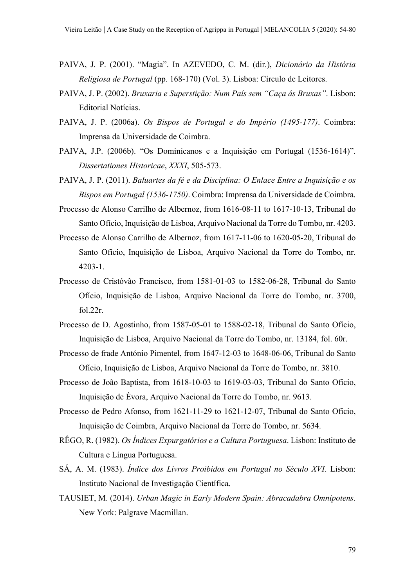- PAIVA, J. P. (2001). "Magia". In AZEVEDO, C. M. (dir.), *Dicionário da História Religiosa de Portugal* (pp. 168-170) (Vol. 3). Lisboa: Círculo de Leitores.
- PAIVA, J. P. (2002). *Bruxaria e Superstição: Num País sem "Caça ás Bruxas"*. Lisbon: Editorial Notícias.
- PAIVA, J. P. (2006a). *Os Bispos de Portugal e do Império (1495-177)*. Coimbra: Imprensa da Universidade de Coimbra.
- PAIVA, J.P. (2006b). "Os Dominicanos e a Inquisição em Portugal (1536-1614)". *Dissertationes Historicae*, *XXXI*, 505-573.
- PAIVA, J. P. (2011). *Baluartes da fé e da Disciplina: O Enlace Entre a Inquisição e os Bispos em Portugal (1536-1750)*. Coimbra: Imprensa da Universidade de Coimbra.
- Processo de Alonso Carrilho de Albernoz, from 1616-08-11 to 1617-10-13, Tribunal do Santo Ofício, Inquisição de Lisboa, Arquivo Nacional da Torre do Tombo, nr. 4203.
- Processo de Alonso Carrilho de Albernoz, from 1617-11-06 to 1620-05-20, Tribunal do Santo Ofício, Inquisição de Lisboa, Arquivo Nacional da Torre do Tombo, nr. 4203-1.
- Processo de Cristóvão Francisco, from 1581-01-03 to 1582-06-28, Tribunal do Santo Ofício, Inquisição de Lisboa, Arquivo Nacional da Torre do Tombo, nr. 3700, fol.22r.
- Processo de D. Agostinho, from 1587-05-01 to 1588-02-18, Tribunal do Santo Ofício, Inquisição de Lisboa, Arquivo Nacional da Torre do Tombo, nr. 13184, fol. 60r.
- Processo de frade António Pimentel, from 1647-12-03 to 1648-06-06, Tribunal do Santo Ofício, Inquisição de Lisboa, Arquivo Nacional da Torre do Tombo, nr. 3810.
- Processo de João Baptista, from 1618-10-03 to 1619-03-03, Tribunal do Santo Ofício, Inquisição de Évora, Arquivo Nacional da Torre do Tombo, nr. 9613.
- Processo de Pedro Afonso, from 1621-11-29 to 1621-12-07, Tribunal do Santo Ofício, Inquisição de Coimbra, Arquivo Nacional da Torre do Tombo, nr. 5634.
- RÊGO, R. (1982). *Os Índices Expurgatórios e a Cultura Portuguesa*. Lisbon: Instituto de Cultura e Língua Portuguesa.
- SÁ, A. M. (1983). *Índice dos Livros Proibidos em Portugal no Século XVI*. Lisbon: Instituto Nacional de Investigação Científica.
- TAUSIET, M. (2014). *Urban Magic in Early Modern Spain: Abracadabra Omnipotens*. New York: Palgrave Macmillan.